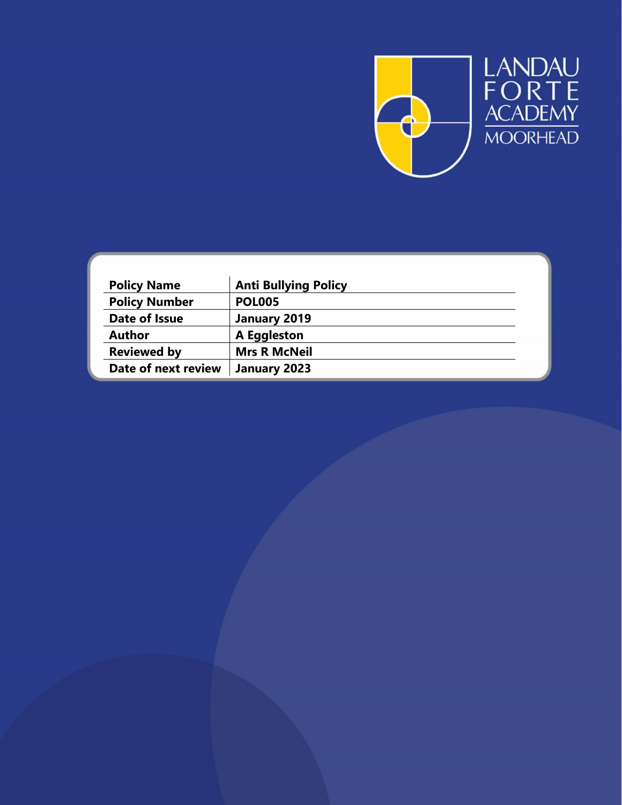

| <b>Policy Name</b>   | <b>Anti Bullying Policy</b> |  |
|----------------------|-----------------------------|--|
| <b>Policy Number</b> | <b>POL005</b>               |  |
| Date of Issue        | January 2019                |  |
| <b>Author</b>        | A Eggleston                 |  |
| <b>Reviewed by</b>   | <b>Mrs R McNeil</b>         |  |
| Date of next review  | January 2023                |  |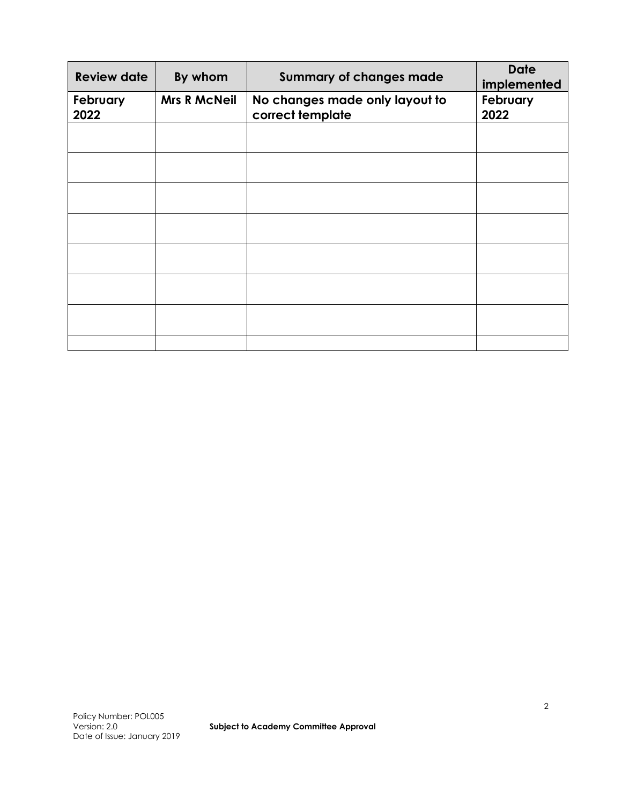| <b>Review date</b> | By whom             | <b>Summary of changes made</b>                     | <b>Date</b><br>implemented |
|--------------------|---------------------|----------------------------------------------------|----------------------------|
| February<br>2022   | <b>Mrs R McNeil</b> | No changes made only layout to<br>correct template | February<br>2022           |
|                    |                     |                                                    |                            |
|                    |                     |                                                    |                            |
|                    |                     |                                                    |                            |
|                    |                     |                                                    |                            |
|                    |                     |                                                    |                            |
|                    |                     |                                                    |                            |
|                    |                     |                                                    |                            |
|                    |                     |                                                    |                            |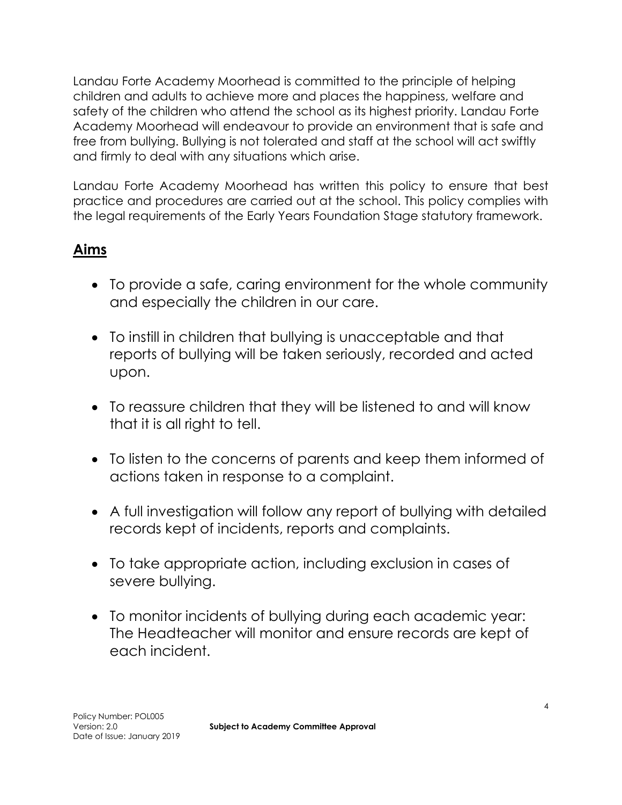Landau Forte Academy Moorhead is committed to the principle of helping children and adults to achieve more and places the happiness, welfare and safety of the children who attend the school as its highest priority. Landau Forte Academy Moorhead will endeavour to provide an environment that is safe and free from bullying. Bullying is not tolerated and staff at the school will act swiftly and firmly to deal with any situations which arise.

Landau Forte Academy Moorhead has written this policy to ensure that best practice and procedures are carried out at the school. This policy complies with the legal requirements of the Early Years Foundation Stage statutory framework.

## **Aims**

- To provide a safe, caring environment for the whole community and especially the children in our care.
- To instill in children that bullying is unacceptable and that reports of bullying will be taken seriously, recorded and acted upon.
- To reassure children that they will be listened to and will know that it is all right to tell.
- To listen to the concerns of parents and keep them informed of actions taken in response to a complaint.
- A full investigation will follow any report of bullying with detailed records kept of incidents, reports and complaints.
- To take appropriate action, including exclusion in cases of severe bullying.
- To monitor incidents of bullying during each academic year: The Headteacher will monitor and ensure records are kept of each incident.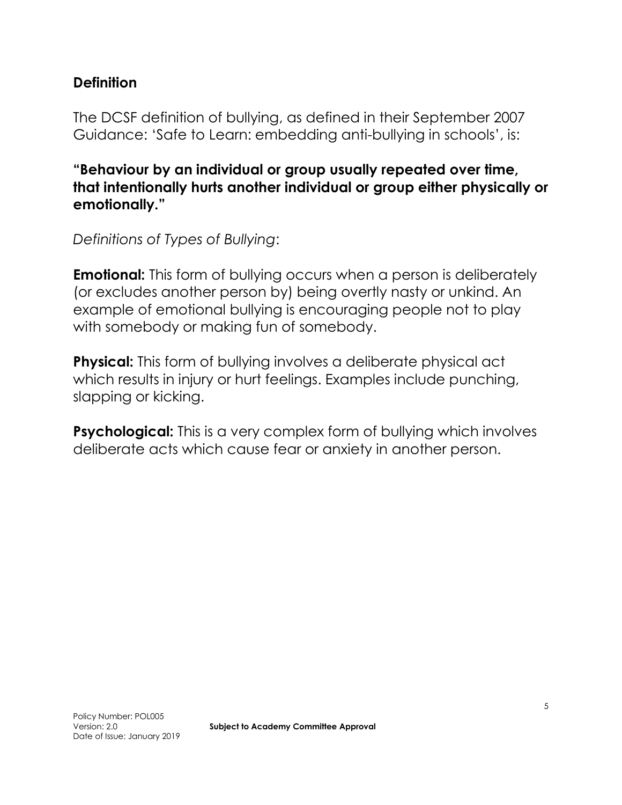#### **Definition**

The DCSF definition of bullying, as defined in their September 2007 Guidance: 'Safe to Learn: embedding anti-bullying in schools', is:

**"Behaviour by an individual or group usually repeated over time, that intentionally hurts another individual or group either physically or emotionally."**

*Definitions of Types of Bullying*:

**Emotional:** This form of bullying occurs when a person is deliberately (or excludes another person by) being overtly nasty or unkind. An example of emotional bullying is encouraging people not to play with somebody or making fun of somebody.

**Physical:** This form of bullying involves a deliberate physical act which results in injury or hurt feelings. Examples include punching, slapping or kicking.

**Psychological:** This is a very complex form of bullying which involves deliberate acts which cause fear or anxiety in another person.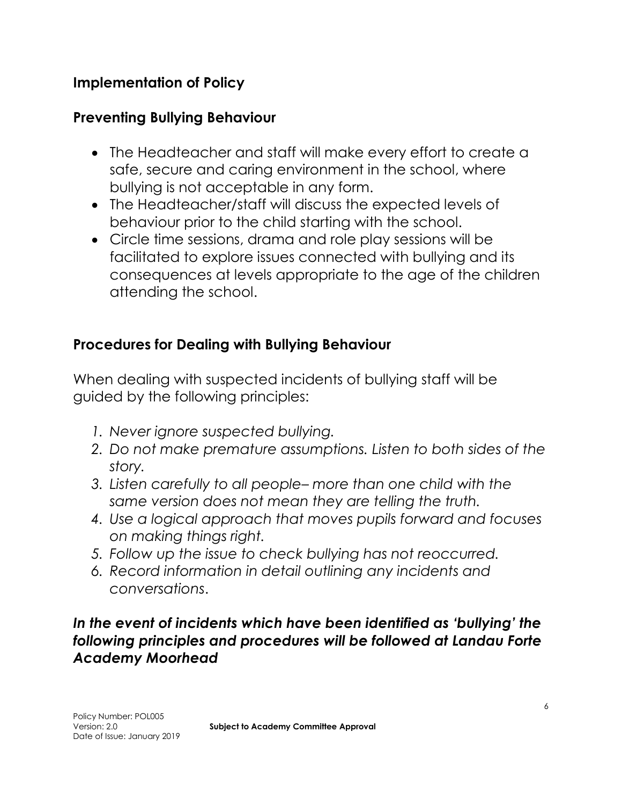# **Implementation of Policy**

#### **Preventing Bullying Behaviour**

- The Headteacher and staff will make every effort to create a safe, secure and caring environment in the school, where bullying is not acceptable in any form.
- The Headteacher/staff will discuss the expected levels of behaviour prior to the child starting with the school.
- Circle time sessions, drama and role play sessions will be facilitated to explore issues connected with bullying and its consequences at levels appropriate to the age of the children attending the school.

## **Procedures for Dealing with Bullying Behaviour**

When dealing with suspected incidents of bullying staff will be guided by the following principles:

- *1. Never ignore suspected bullying.*
- *2. Do not make premature assumptions. Listen to both sides of the story.*
- *3. Listen carefully to all people– more than one child with the same version does not mean they are telling the truth.*
- *4. Use a logical approach that moves pupils forward and focuses on making things right.*
- *5. Follow up the issue to check bullying has not reoccurred.*
- *6. Record information in detail outlining any incidents and conversations*.

#### *In the event of incidents which have been identified as 'bullying' the following principles and procedures will be followed at Landau Forte Academy Moorhead*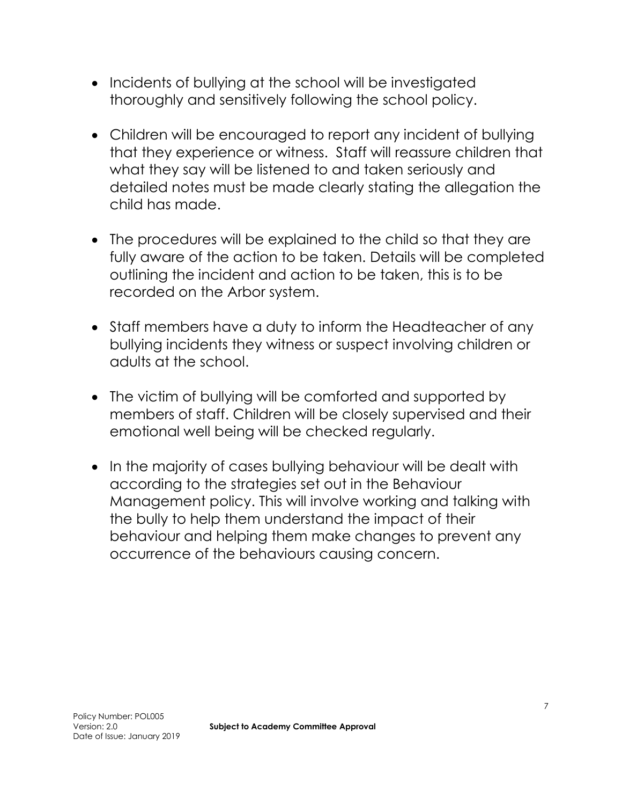- Incidents of bullying at the school will be investigated thoroughly and sensitively following the school policy.
- Children will be encouraged to report any incident of bullying that they experience or witness. Staff will reassure children that what they say will be listened to and taken seriously and detailed notes must be made clearly stating the allegation the child has made.
- The procedures will be explained to the child so that they are fully aware of the action to be taken. Details will be completed outlining the incident and action to be taken, this is to be recorded on the Arbor system.
- Staff members have a duty to inform the Headteacher of any bullying incidents they witness or suspect involving children or adults at the school.
- The victim of bullying will be comforted and supported by members of staff. Children will be closely supervised and their emotional well being will be checked regularly.
- In the majority of cases bullying behaviour will be dealt with according to the strategies set out in the Behaviour Management policy. This will involve working and talking with the bully to help them understand the impact of their behaviour and helping them make changes to prevent any occurrence of the behaviours causing concern.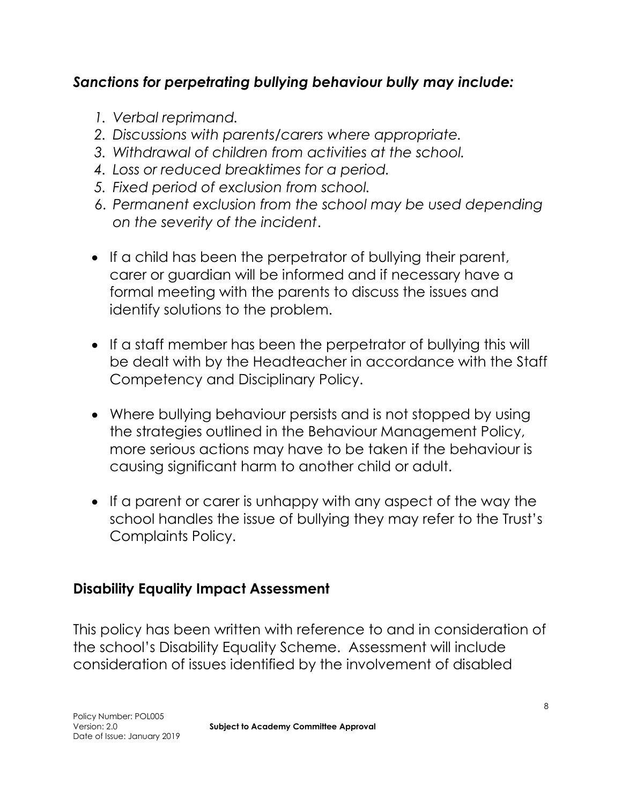## *Sanctions for perpetrating bullying behaviour bully may include:*

- *1. Verbal reprimand.*
- *2. Discussions with parents/carers where appropriate.*
- *3. Withdrawal of children from activities at the school.*
- *4. Loss or reduced breaktimes for a period.*
- *5. Fixed period of exclusion from school.*
- 6. *Permanent exclusion from the school may be used depending on the severity of the incident*.
- If a child has been the perpetrator of bullying their parent, carer or guardian will be informed and if necessary have a formal meeting with the parents to discuss the issues and identify solutions to the problem.
- If a staff member has been the perpetrator of bullying this will be dealt with by the Headteacher in accordance with the Staff Competency and Disciplinary Policy.
- Where bullying behaviour persists and is not stopped by using the strategies outlined in the Behaviour Management Policy, more serious actions may have to be taken if the behaviour is causing significant harm to another child or adult.
- If a parent or carer is unhappy with any aspect of the way the school handles the issue of bullying they may refer to the Trust's Complaints Policy.

# **Disability Equality Impact Assessment**

This policy has been written with reference to and in consideration of the school's Disability Equality Scheme. Assessment will include consideration of issues identified by the involvement of disabled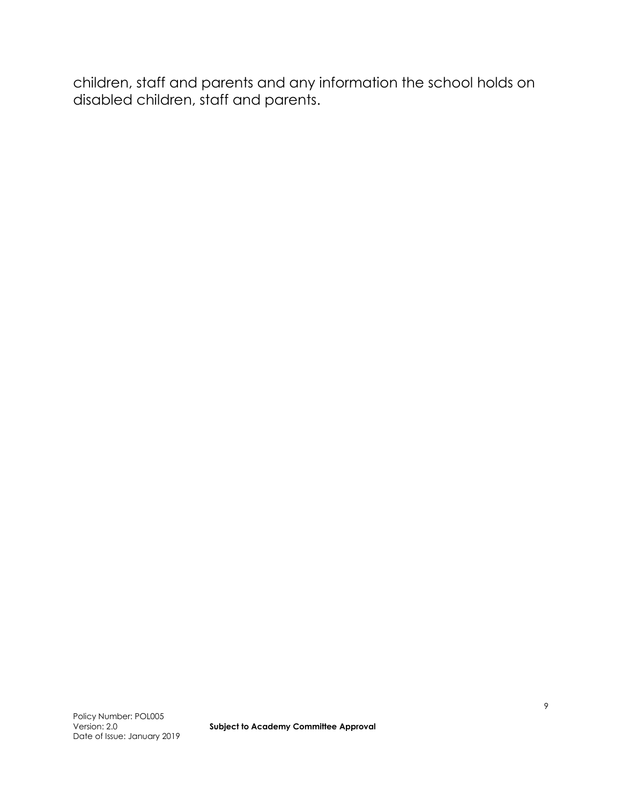children, staff and parents and any information the school holds on disabled children, staff and parents.